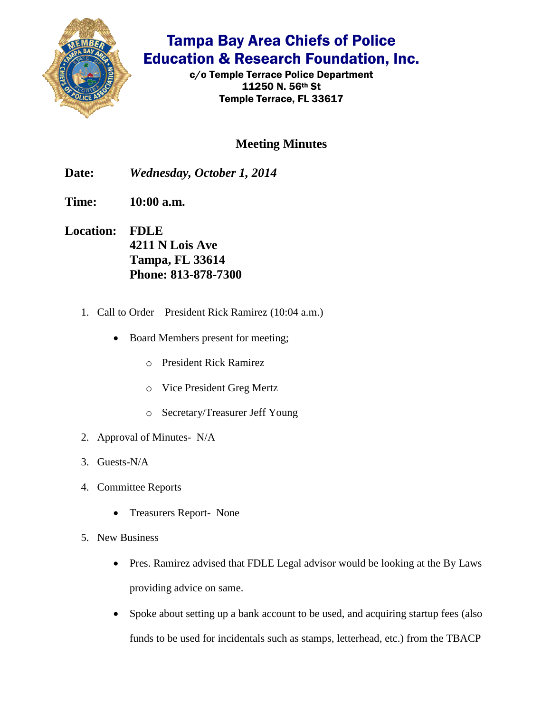

## Tampa Bay Area Chiefs of Police Education & Research Foundation, Inc.

c/o Temple Terrace Police Department 11250 N. 56th St Temple Terrace, FL 33617

## **Meeting Minutes**

**Date:** *Wednesday, October 1, 2014*

**Time: 10:00 a.m.**

- **Location: FDLE 4211 N Lois Ave Tampa, FL 33614 Phone: 813-878-7300**
	- 1. Call to Order President Rick Ramirez (10:04 a.m.)
		- Board Members present for meeting;
			- o President Rick Ramirez
			- o Vice President Greg Mertz
			- o Secretary/Treasurer Jeff Young
	- 2. Approval of Minutes- N/A
	- 3. Guests-N/A
	- 4. Committee Reports
		- Treasurers Report- None
	- 5. New Business
		- Pres. Ramirez advised that FDLE Legal advisor would be looking at the By Laws providing advice on same.
		- Spoke about setting up a bank account to be used, and acquiring startup fees (also funds to be used for incidentals such as stamps, letterhead, etc.) from the TBACP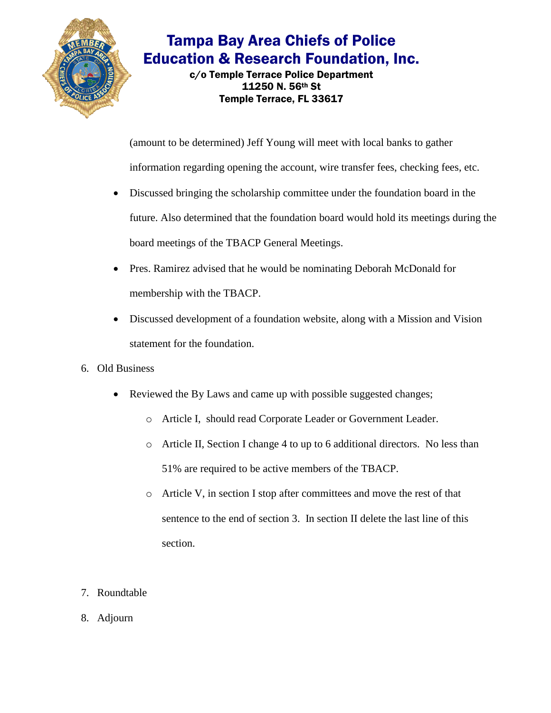

## Tampa Bay Area Chiefs of Police Education & Research Foundation, Inc.

c/o Temple Terrace Police Department 11250 N. 56th St Temple Terrace, FL 33617

(amount to be determined) Jeff Young will meet with local banks to gather

information regarding opening the account, wire transfer fees, checking fees, etc.

- Discussed bringing the scholarship committee under the foundation board in the future. Also determined that the foundation board would hold its meetings during the board meetings of the TBACP General Meetings.
- Pres. Ramirez advised that he would be nominating Deborah McDonald for membership with the TBACP.
- Discussed development of a foundation website, along with a Mission and Vision statement for the foundation.
- 6. Old Business
	- Reviewed the By Laws and came up with possible suggested changes;
		- o Article I, should read Corporate Leader or Government Leader.
		- o Article II, Section I change 4 to up to 6 additional directors. No less than 51% are required to be active members of the TBACP.
		- o Article V, in section I stop after committees and move the rest of that sentence to the end of section 3. In section II delete the last line of this section.
- 7. Roundtable
- 8. Adjourn